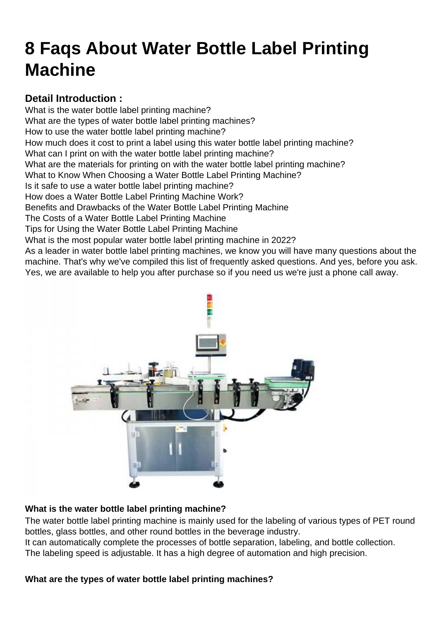# [8 Faqs About Water Bottle Label Printing](https://hanyipack.com/8-faqs-about-water-bottle-label-printing-machine/) Machine

Detail Introduction : What is the water bottle label printing machine? What are the types of water bottle label printing machines? [How to use the water bottle label printing machine?](#page-1-0) [How much does it cost to print a label using this water bottle label printing machine?](#page-1-0) [What can I print on with the water bottle label printing machine?](#page-1-0) [What are the materials for printing on with the water bottle label printing machine?](#page-2-0) [What to Know When Choosing a Water Bottle Label Printing Machine?](#page-2-0) [Is it safe to use a water bottle label printing machine?](#page-2-0) [How does a Water Bottle Label Printing Machine Work?](#page-3-0) [Benefits and Drawbacks of the Water Bottle Label Printing Machine](#page-3-0) [The Costs of a Water Bottle Label Printing Machine](#page-3-0) [Tips for Using the Water Bottle Label Printing Machine](#page-3-0) [What is the most popular water bottle label printing machine in 2022?](#page-4-0) As a leader in water bottle label printing machines, we know you will have many questions about the machine. That's why we've compiled this list of frequently asked questions. And yes, before you ask. Yes, we are available to help you after purchase so if you need us we're just a phone call away.

What is the water bottle label printing machine?

The [water bottle label printing machine](https://hanyipack.com/printing-and-labeling-machine/customized-water-bottle-label-printing-and-labeling-solution.html) is mainly used for the labeling of various types of PET round bottles, glass bottles, and other round bottles in the beverage industry.

It can automatically complete the processes of bottle separation, labeling, and bottle collection. The labeling speed is adjustable. It has a high degree of automation and high precision.

What are the types of water bottle label printing machines?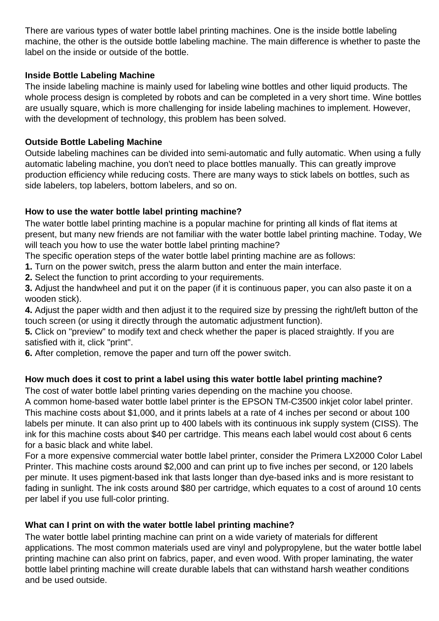<span id="page-1-0"></span>There are various types of water bottle label printing machines. One is the inside bottle labeling machine, the other is the outside bottle labeling machine. The main difference is whether to paste the label on the inside or outside of the bottle.

#### **Inside Bottle Labeling Machine**

The inside labeling machine is mainly used for labeling wine bottles and other liquid products. The whole process design is completed by robots and can be completed in a very short time. Wine bottles are usually square, which is more challenging for inside labeling machines to implement. However, with the development of technology, this problem has been solved.

### **Outside Bottle Labeling Machine**

Outside labeling machines can be divided into semi-automatic and fully automatic. When using a fully automatic labeling machine, you don't need to place bottles manually. This can greatly improve production efficiency while reducing costs. There are many ways to stick labels on bottles, such as side labelers, top labelers, bottom labelers, and so on.

### **How to use the water bottle label printing machine?**

The water bottle label printing machine is a popular machine for printing all kinds of flat items at present, but many new friends are not familiar with the water bottle label printing machine. Today, We will teach you how to use the water bottle label printing machine?

The specific operation steps of the water bottle label printing machine are as follows:

**1.** Turn on the power switch, press the alarm button and enter the main interface.

**2.** Select the function to print according to your requirements.

**3.** Adjust the handwheel and put it on the paper (if it is continuous paper, you can also paste it on a wooden stick).

**4.** Adjust the paper width and then adjust it to the required size by pressing the right/left button of the touch screen (or using it directly through the automatic adjustment function).

**5.** Click on "preview" to modify text and check whether the paper is placed straightly. If you are satisfied with it, click "print".

**6.** After completion, remove the paper and turn off the power switch.

# **How much does it cost to print a label using this water bottle label printing machine?**

The cost of water bottle label printing varies depending on the machine you choose.

A common home-based water bottle label printer is the EPSON TM-C3500 inkjet color label printer. This machine costs about \$1,000, and it prints labels at a rate of 4 inches per second or about 100 labels per minute. It can also print up to 400 labels with its continuous ink supply system (CISS). The ink for this machine costs about \$40 per cartridge. This means each label would cost about 6 cents for a basic black and white label.

For a more expensive commercial water bottle label printer, consider the Primera LX2000 Color Label Printer. This machine costs around \$2,000 and can print up to five inches per second, or 120 labels per minute. It uses pigment-based ink that lasts longer than dye-based inks and is more resistant to fading in sunlight. The ink costs around \$80 per cartridge, which equates to a cost of around 10 cents per label if you use full-color printing.

#### **What can I print on with the water bottle label printing machine?**

The water bottle label printing machine can print on a wide variety of materials for different applications. The most common materials used are vinyl and polypropylene, but the water bottle label printing machine can also print on fabrics, paper, and even wood. With proper laminating, the water bottle label printing machine will create durable labels that can withstand harsh weather conditions and be used outside.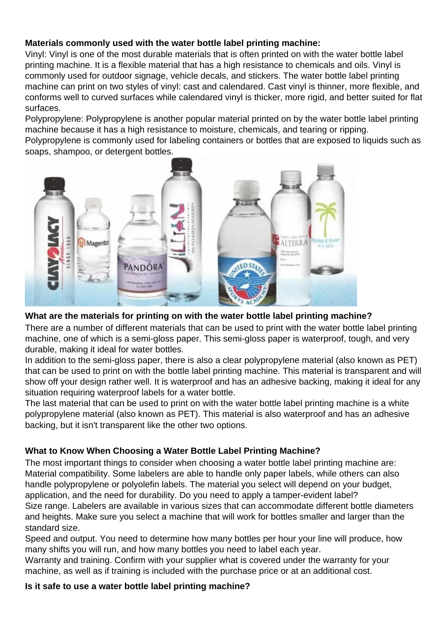## <span id="page-2-0"></span>**Materials commonly used with the water bottle label printing machine:**

Vinyl: Vinyl is one of the most durable materials that is often printed on with the water bottle label printing machine. It is a flexible material that has a high resistance to chemicals and oils. Vinyl is commonly used for outdoor signage, vehicle decals, and stickers. The water bottle label printing machine can print on two styles of vinyl: cast and calendared. Cast vinyl is thinner, more flexible, and conforms well to curved surfaces while calendared vinyl is thicker, more rigid, and better suited for flat surfaces.

Polypropylene: Polypropylene is another popular material printed on by the water bottle label printing machine because it has a high resistance to moisture, chemicals, and tearing or ripping.

Polypropylene is commonly used for labeling containers or bottles that are exposed to liquids such as soaps, shampoo, or detergent bottles.



#### **What are the materials for printing on with the water bottle label printing machine?**

There are a number of different materials that can be used to print with the water bottle label printing machine, one of which is a semi-gloss paper. This semi-gloss paper is waterproof, tough, and very durable, making it ideal for water bottles.

In addition to the semi-gloss paper, there is also a clear polypropylene material (also known as PET) that can be used to print on with the bottle label printing machine. This material is transparent and will show off your design rather well. It is waterproof and has an adhesive backing, making it ideal for any situation requiring waterproof labels for a water bottle.

The last material that can be used to print on with the water bottle label printing machine is a white polypropylene material (also known as PET). This material is also waterproof and has an adhesive backing, but it isn't transparent like the other two options.

# **What to Know When Choosing a Water Bottle Label Printing Machine?**

The most important things to consider when choosing a water bottle label printing machine are: Material compatibility. Some labelers are able to handle only paper labels, while others can also handle polypropylene or polyolefin labels. The material you select will depend on your budget, application, and the need for durability. Do you need to apply a tamper-evident label? Size range. Labelers are available in various sizes that can accommodate different bottle diameters and heights. Make sure you select a machine that will work for bottles smaller and larger than the standard size.

Speed and output. You need to determine how many bottles per hour your line will produce, how many shifts you will run, and how many bottles you need to label each year.

Warranty and training. Confirm with your supplier what is covered under the warranty for your machine, as well as if training is included with the purchase price or at an additional cost.

#### **Is it safe to use a water bottle label printing machine?**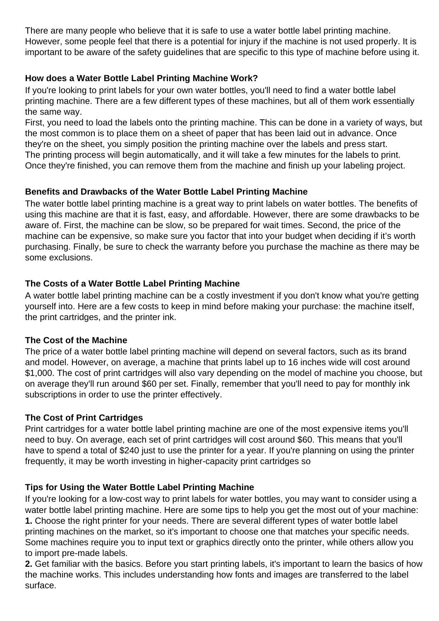<span id="page-3-0"></span>There are many people who believe that it is safe to use a water bottle label printing machine. However, some people feel that there is a potential for injury if the machine is not used properly. It is important to be aware of the safety guidelines that are specific to this type of machine before using it.

# **How does a Water Bottle Label Printing Machine Work?**

If you're looking to print labels for your own water bottles, you'll need to find a water bottle label printing machine. There are a few different types of these machines, but all of them work essentially the same way.

First, you need to load the labels onto the printing machine. This can be done in a variety of ways, but the most common is to place them on a sheet of paper that has been laid out in advance. Once they're on the sheet, you simply position the printing machine over the labels and press start. The printing process will begin automatically, and it will take a few minutes for the labels to print. Once they're finished, you can remove them from the machine and finish up your labeling project.

# **Benefits and Drawbacks of the Water Bottle Label Printing Machine**

The water bottle label printing machine is a great way to print labels on water bottles. The benefits of using this machine are that it is fast, easy, and affordable. However, there are some drawbacks to be aware of. First, the machine can be slow, so be prepared for wait times. Second, the price of the machine can be expensive, so make sure you factor that into your budget when deciding if it's worth purchasing. Finally, be sure to check the warranty before you purchase the machine as there may be some exclusions.

### **The Costs of a Water Bottle Label Printing Machine**

A water bottle label printing machine can be a costly investment if you don't know what you're getting yourself into. Here are a few costs to keep in mind before making your purchase: the machine itself, the print cartridges, and the printer ink.

#### **The Cost of the Machine**

The price of a water bottle label printing machine will depend on several factors, such as its brand and model. However, on average, a machine that prints label up to 16 inches wide will cost around \$1,000. The cost of print cartridges will also vary depending on the model of machine you choose, but on average they'll run around \$60 per set. Finally, remember that you'll need to pay for monthly ink subscriptions in order to use the printer effectively.

# **The Cost of Print Cartridges**

Print cartridges for a water bottle label printing machine are one of the most expensive items you'll need to buy. On average, each set of print cartridges will cost around \$60. This means that you'll have to spend a total of \$240 just to use the printer for a year. If you're planning on using the printer frequently, it may be worth investing in higher-capacity print cartridges so

# **Tips for Using the Water Bottle Label Printing Machine**

If you're looking for a low-cost way to print labels for water bottles, you may want to consider using a water bottle label printing machine. Here are some tips to help you get the most out of your machine: **1.** Choose the right printer for your needs. There are several different types of water bottle label printing machines on the market, so it's important to choose one that matches your specific needs. Some machines require you to input text or graphics directly onto the printer, while others allow you to import pre-made labels.

**2.** Get familiar with the basics. Before you start printing labels, it's important to learn the basics of how the machine works. This includes understanding how fonts and images are transferred to the label surface.